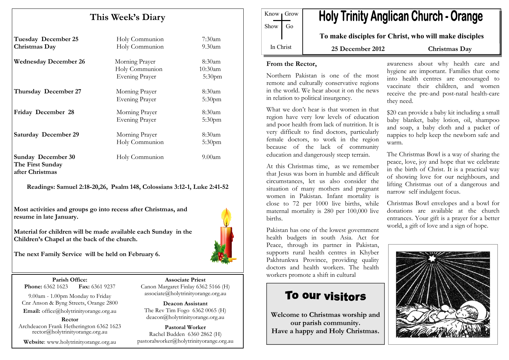# This Week's Diary

| <b>Tuesday December 25</b><br>Christmas Day                      | Holy Communion<br>Holy Communion                          | $7:30$ am<br>$9.30$ am                        |
|------------------------------------------------------------------|-----------------------------------------------------------|-----------------------------------------------|
| <b>Wednesday December 26</b>                                     | Morning Prayer<br>Holy Communion<br><b>Evening Prayer</b> | $8:30$ am<br>$10:30$ am<br>5:30 <sub>pm</sub> |
| Thursday December 27                                             | Morning Prayer<br><b>Evening Prayer</b>                   | $8:30$ am<br>$5:30$ pm                        |
| Friday December 28                                               | Morning Prayer<br><b>Evening Prayer</b>                   | $8:30$ am<br>5:30 <sub>pm</sub>               |
| <b>Saturday December 29</b>                                      | Morning Prayer<br>Holy Communion                          | $8:30$ am<br>5:30 <sub>pm</sub>               |
| <b>Sunday December 30</b><br>The First Sunday<br>after Christmas | Holy Communion                                            | $9.00$ am                                     |

Readings: Samuel 2:18-20,26, Psalm 148, Colossians 3:12-1, Luke 2:41-52

Most activities and groups go into recess after Christmas, and resume in late January.

Material for children will be made available each Sunday in the Children's Chapel at the back of the church.



The next Family Service will be held on February 6.

Parish Office: Fax: 6361 9237 **Phone: 6362 1623** 

9.00am - 1.00pm Monday to Friday Cnr Anson & Byng Streets, Orange 2800 Email: office@holytrinityorange.org.au

Rector Archdeacon Frank Hetherington 6362 1623 rector@holytrinityorange.org.au

Website: www.holytrinityorange.org.au

Associate Priest Canon Margaret Finlay 6362 5166 (H) associate@holytrinityorange.org.au

Deacon Assistant The Rev Tim Fogo 6362 0065 (H) deacon@holytrinityorange.org.au

Pastoral Worker Rachel Budden 6360 2862 (H) pastoralworker@holytrinityorange.org.au

Know Grow Show Go

# **Holy Trinity Anglican Church - Orange**

To make disciples for Christ, who will make disciples

In Christ

25 December 2012 Christmas Day

#### From the Rector,

Northern Pakistan is one of the most remote and culturally conservative regions in the world. We hear about it on the news in relation to political insurgency.

What we don't hear is that women in that region have very low levels of education and poor health from lack of nutrition. It is very difficult to find doctors, particularly female doctors, to work in the region because of the lack of community education and dangerously steep terrain.

At this Christmas time, as we remember that Jesus was born in humble and difficult circumstances, let us also consider the situation of many mothers and pregnant women in Pakistan. Infant mortality is close to 72 per 1000 live births, while maternal mortality is 280 per 100,000 live births.

Pakistan has one of the lowest government health budgets in south Asia. Act for Peace, through its partner in Pakistan, supports rural health centres in Khyber Pakhtunkwa Province, providing quality doctors and health workers. The health workers promote a shift in cultural

# To our visitors

Welcome to Christmas worship and our parish community. Have a happy and Holy Christmas. awareness about why health care and hygiene are important. Families that come into health centres are encouraged to vaccinate their children, and women receive the pre-and post-natal health-care they need.

\$20 can provide a baby kit including a small baby blanket, baby lotion, oil, shampoo and soap, a baby cloth and a packet of nappies to help keep the newborn safe and warm.

The Christmas Bowl is a way of sharing the peace, love, joy and hope that we celebrate in the birth of Christ. It is a practical way of showing love for our neighbours, and lifting Christmas out of a dangerous and narrow self indulgent focus.

Christmas Bowl envelopes and a bowl for donations are available at the church entrances. Your gift is a prayer for a better world, a gift of love and a sign of hope.